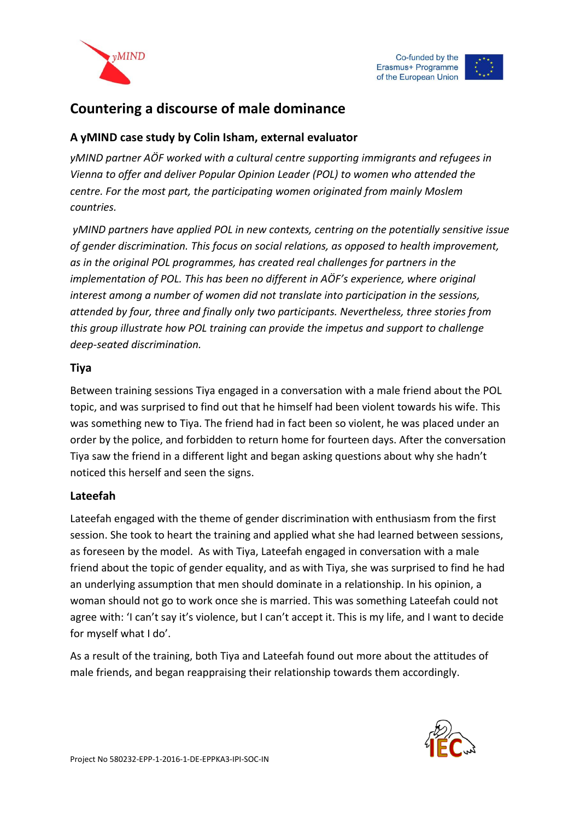



# **Countering a discourse of male dominance**

# **A yMIND case study by Colin Isham, external evaluator**

*yMIND partner AÖF worked with a cultural centre supporting immigrants and refugees in Vienna to offer and deliver Popular Opinion Leader (POL) to women who attended the centre. For the most part, the participating women originated from mainly Moslem countries.*

*yMIND partners have applied POL in new contexts, centring on the potentially sensitive issue of gender discrimination. This focus on social relations, as opposed to health improvement, as in the original POL programmes, has created real challenges for partners in the implementation of POL. This has been no different in AÖF's experience, where original interest among a number of women did not translate into participation in the sessions, attended by four, three and finally only two participants. Nevertheless, three stories from this group illustrate how POL training can provide the impetus and support to challenge deep-seated discrimination.*

### **Tiya**

Between training sessions Tiya engaged in a conversation with a male friend about the POL topic, and was surprised to find out that he himself had been violent towards his wife. This was something new to Tiya. The friend had in fact been so violent, he was placed under an order by the police, and forbidden to return home for fourteen days. After the conversation Tiya saw the friend in a different light and began asking questions about why she hadn't noticed this herself and seen the signs.

#### **Lateefah**

Lateefah engaged with the theme of gender discrimination with enthusiasm from the first session. She took to heart the training and applied what she had learned between sessions, as foreseen by the model. As with Tiya, Lateefah engaged in conversation with a male friend about the topic of gender equality, and as with Tiya, she was surprised to find he had an underlying assumption that men should dominate in a relationship. In his opinion, a woman should not go to work once she is married. This was something Lateefah could not agree with: 'I can't say it's violence, but I can't accept it. This is my life, and I want to decide for myself what I do'.

As a result of the training, both Tiya and Lateefah found out more about the attitudes of male friends, and began reappraising their relationship towards them accordingly.